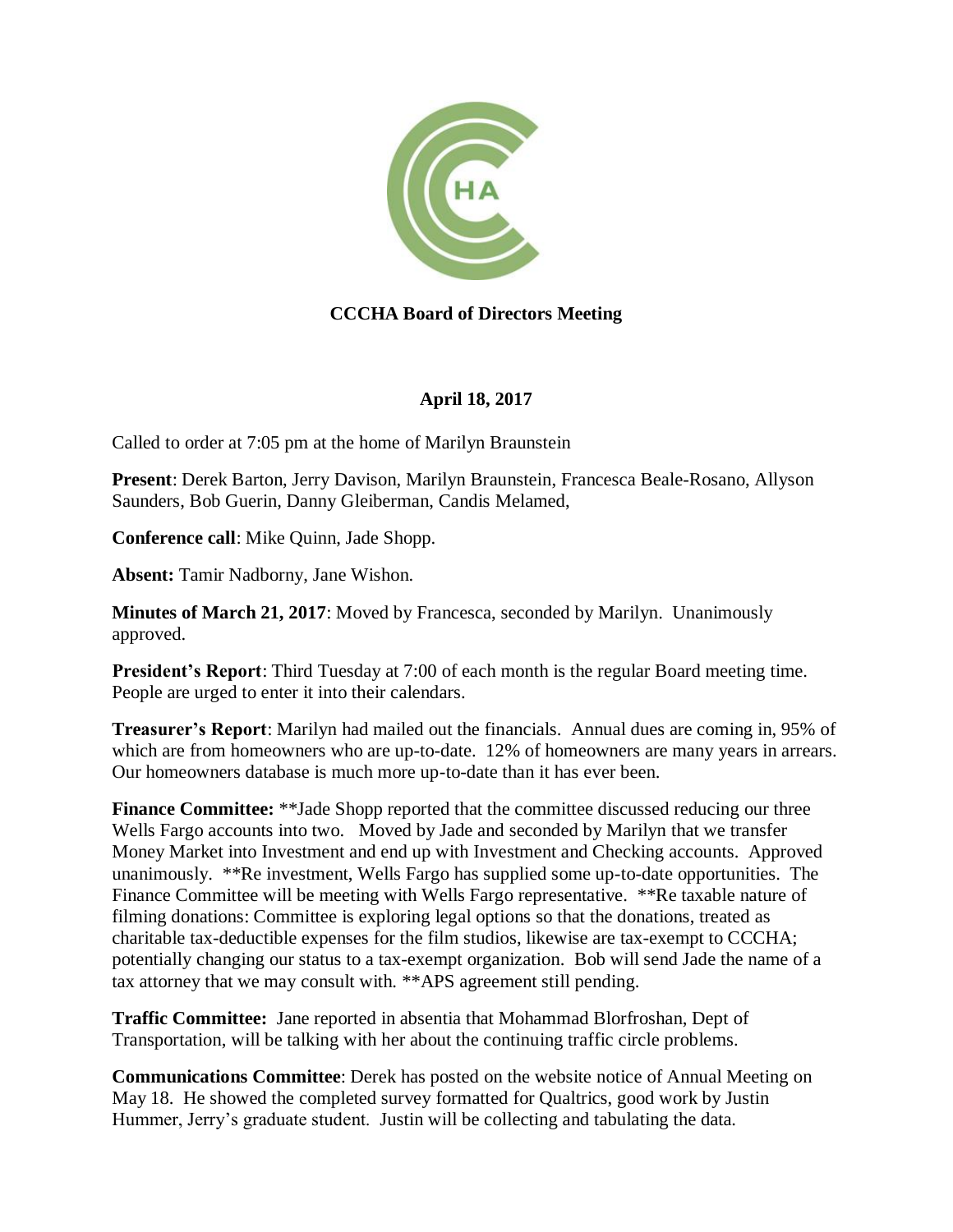

## **CCCHA Board of Directors Meeting**

## **April 18, 2017**

Called to order at 7:05 pm at the home of Marilyn Braunstein

**Present**: Derek Barton, Jerry Davison, Marilyn Braunstein, Francesca Beale-Rosano, Allyson Saunders, Bob Guerin, Danny Gleiberman, Candis Melamed,

**Conference call**: Mike Quinn, Jade Shopp.

**Absent:** Tamir Nadborny, Jane Wishon.

**Minutes of March 21, 2017**: Moved by Francesca, seconded by Marilyn. Unanimously approved.

**President's Report**: Third Tuesday at 7:00 of each month is the regular Board meeting time. People are urged to enter it into their calendars.

**Treasurer's Report**: Marilyn had mailed out the financials. Annual dues are coming in, 95% of which are from homeowners who are up-to-date. 12% of homeowners are many years in arrears. Our homeowners database is much more up-to-date than it has ever been.

**Finance Committee:** \*\*Jade Shopp reported that the committee discussed reducing our three Wells Fargo accounts into two. Moved by Jade and seconded by Marilyn that we transfer Money Market into Investment and end up with Investment and Checking accounts. Approved unanimously. \*\*Re investment, Wells Fargo has supplied some up-to-date opportunities. The Finance Committee will be meeting with Wells Fargo representative. \*\*Re taxable nature of filming donations: Committee is exploring legal options so that the donations, treated as charitable tax-deductible expenses for the film studios, likewise are tax-exempt to CCCHA; potentially changing our status to a tax-exempt organization. Bob will send Jade the name of a tax attorney that we may consult with. \*\*APS agreement still pending.

**Traffic Committee:** Jane reported in absentia that Mohammad Blorfroshan, Dept of Transportation, will be talking with her about the continuing traffic circle problems.

**Communications Committee**: Derek has posted on the website notice of Annual Meeting on May 18. He showed the completed survey formatted for Qualtrics, good work by Justin Hummer, Jerry's graduate student. Justin will be collecting and tabulating the data.